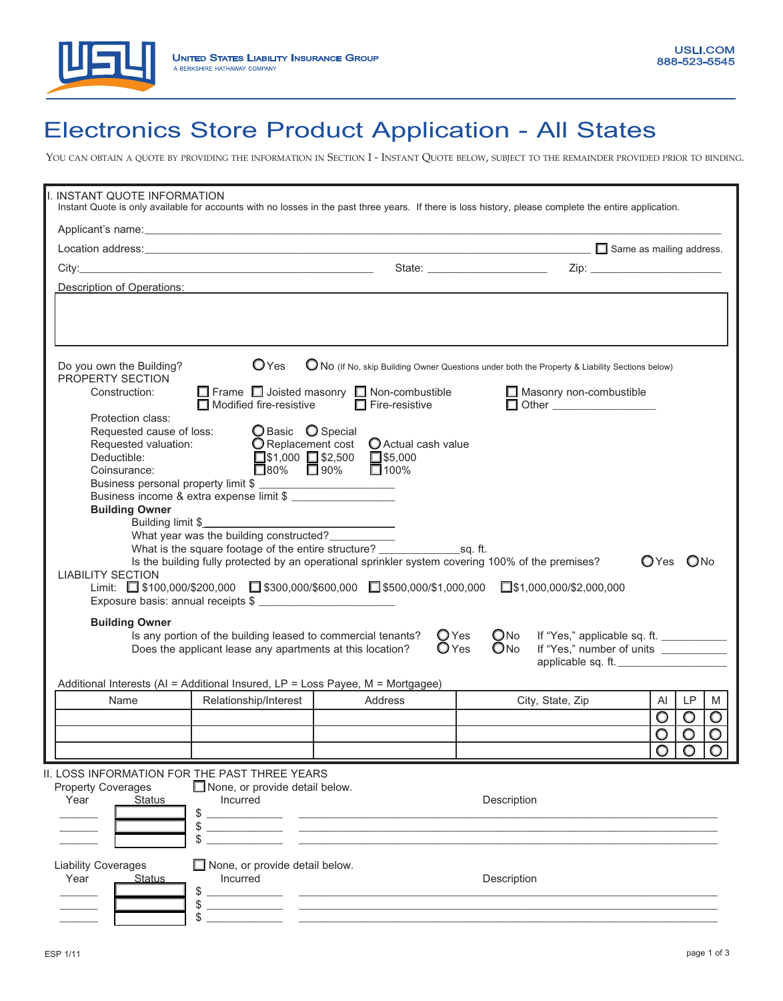

## Electronics Store Product Application - All States

YOU CAN OBTAIN A QUOTE BY PROVIDING THE INFORMATION IN SECTION I - INSTANT QUOTE BELOW, SUBJECT TO THE REMAINDER PROVIDED PRIOR TO BINDING.

| INSTANT QUOTE INFORMATION                                                                                                                                                                                                                      |                                                                                                                                                                                                                                                                                                                                   |                                                                                                                                                                                                                                      | Instant Quote is only available for accounts with no losses in the past three years. If there is loss history, please complete the entire application.                                                                                      |                                                                                |
|------------------------------------------------------------------------------------------------------------------------------------------------------------------------------------------------------------------------------------------------|-----------------------------------------------------------------------------------------------------------------------------------------------------------------------------------------------------------------------------------------------------------------------------------------------------------------------------------|--------------------------------------------------------------------------------------------------------------------------------------------------------------------------------------------------------------------------------------|---------------------------------------------------------------------------------------------------------------------------------------------------------------------------------------------------------------------------------------------|--------------------------------------------------------------------------------|
|                                                                                                                                                                                                                                                |                                                                                                                                                                                                                                                                                                                                   | Applicant's name: <u>contract and contract and contract and contract and contract and contract and contract and contract and contract and contract and contract and contract and contract and contract and contract and contract</u> |                                                                                                                                                                                                                                             |                                                                                |
|                                                                                                                                                                                                                                                |                                                                                                                                                                                                                                                                                                                                   |                                                                                                                                                                                                                                      |                                                                                                                                                                                                                                             | $\Box$ Same as mailing address.                                                |
|                                                                                                                                                                                                                                                |                                                                                                                                                                                                                                                                                                                                   |                                                                                                                                                                                                                                      | State: _________________________                                                                                                                                                                                                            |                                                                                |
| Description of Operations:                                                                                                                                                                                                                     |                                                                                                                                                                                                                                                                                                                                   |                                                                                                                                                                                                                                      |                                                                                                                                                                                                                                             |                                                                                |
|                                                                                                                                                                                                                                                |                                                                                                                                                                                                                                                                                                                                   |                                                                                                                                                                                                                                      |                                                                                                                                                                                                                                             |                                                                                |
| Do you own the Building?<br>PROPERTY SECTION                                                                                                                                                                                                   | OYes                                                                                                                                                                                                                                                                                                                              |                                                                                                                                                                                                                                      | ◯ No (If No, skip Building Owner Questions under both the Property & Liability Sections below)                                                                                                                                              |                                                                                |
| Construction:                                                                                                                                                                                                                                  | $\Box$ Modified fire-resistive                                                                                                                                                                                                                                                                                                    | $\Box$ Frame $\Box$ Joisted masonry $\Box$ Non-combustible<br>$\Box$ Fire-resistive                                                                                                                                                  | Masonry non-combustible                                                                                                                                                                                                                     |                                                                                |
| Protection class:<br>Requested cause of loss:<br>Requested valuation:<br>Deductible:<br>Coinsurance:<br>Business personal property limit \$<br><b>Building Owner</b><br>Building limit \$<br><b>LIABILITY SECTION</b><br><b>Building Owner</b> | O Basic <b>O</b> Special<br>O Replacement cost<br>$\Box$ 80% $\Box$ 90%<br>Business income & extra expense limit \$<br>What year was the building constructed?<br>Exposure basis: annual receipts \$<br>Is any portion of the building leased to commercial tenants?<br>Does the applicant lease any apartments at this location? | Actual cash value<br>$\Box$ \$1,000 $\Box$ \$2,500 $\Box$ \$5,000<br>$\Box$ 100%<br><u> 1989 - Johann Barn, fransk politik (d. 1989)</u><br>$\bigcirc$ Yes<br>$\bigcirc$ Yes                                                         | Is the building fully protected by an operational sprinkler system covering 100% of the premises?<br>Limit: □ \$100,000/\$200,000 □ \$300,000/\$600,000 □ \$500,000/\$1,000,000 □ \$1,000,000/\$2,000,000<br>$\bigcirc$ No<br>$\bigcirc$ No | OYes ONo<br>If "Yes," applicable sq. ft.<br>applicable sq. ft.                 |
|                                                                                                                                                                                                                                                |                                                                                                                                                                                                                                                                                                                                   | Additional Interests (AI = Additional Insured, LP = Loss Payee, M = Mortgagee)                                                                                                                                                       |                                                                                                                                                                                                                                             |                                                                                |
| Name                                                                                                                                                                                                                                           | Relationship/Interest                                                                                                                                                                                                                                                                                                             | Address                                                                                                                                                                                                                              | City, State, Zip                                                                                                                                                                                                                            | LP<br>AI<br>M<br>$\overline{\mathsf{o}}$<br>$\overline{\mathsf{O}}$<br>$\circ$ |
|                                                                                                                                                                                                                                                |                                                                                                                                                                                                                                                                                                                                   |                                                                                                                                                                                                                                      |                                                                                                                                                                                                                                             | $\circ$<br>O<br>$\circ$                                                        |
|                                                                                                                                                                                                                                                |                                                                                                                                                                                                                                                                                                                                   |                                                                                                                                                                                                                                      |                                                                                                                                                                                                                                             | O                                                                              |
| II. LOSS INFORMATION FOR THE PAST THREE YEARS<br><b>Property Coverages</b><br>Year<br><b>Status</b>                                                                                                                                            | None, or provide detail below.<br>Incurred<br>\$<br>\$<br>\$                                                                                                                                                                                                                                                                      |                                                                                                                                                                                                                                      | Description                                                                                                                                                                                                                                 |                                                                                |
| <b>Liability Coverages</b><br>Year<br><b>Status</b>                                                                                                                                                                                            | $\Box$ None, or provide detail below.<br>Incurred<br>\$<br>\$<br>\$                                                                                                                                                                                                                                                               | <u> 1989 - Johann Johann Stoff, deutscher Stoff und der Stoff und der Stoff und der Stoff und der Stoff und der S</u>                                                                                                                | Description                                                                                                                                                                                                                                 |                                                                                |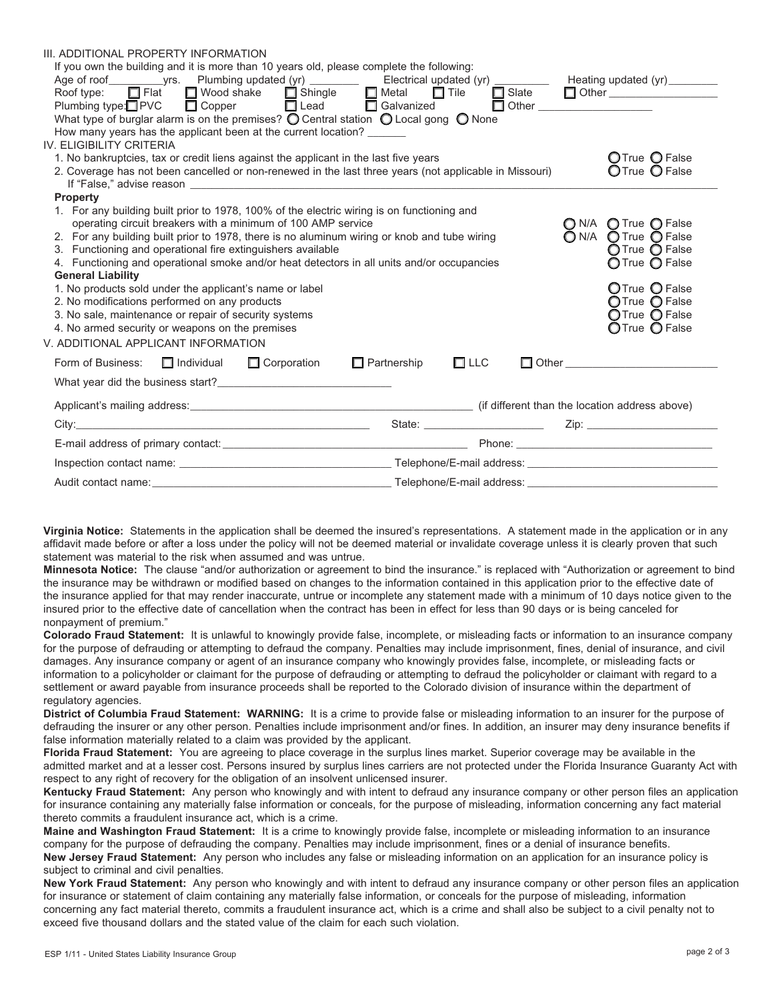| III. ADDITIONAL PROPERTY INFORMATION                                                                                                                                                                                                                                                                                                     |                                                         |                                   |
|------------------------------------------------------------------------------------------------------------------------------------------------------------------------------------------------------------------------------------------------------------------------------------------------------------------------------------------|---------------------------------------------------------|-----------------------------------|
| If you own the building and it is more than 10 years old, please complete the following:                                                                                                                                                                                                                                                 |                                                         |                                   |
| Age of roof ____________yrs. Plumbing updated (yr) ____________________Electrical updated (yr) _______________ Heating updated (yr) ______________                                                                                                                                                                                       |                                                         |                                   |
| Roof type: □ Flat □ Wood shake □ Shingle □ Metal □ Tile □ Slate                                                                                                                                                                                                                                                                          |                                                         | □ Other <u>__________________</u> |
| Lead Galvanized<br>Plumbing type:□PVC □ Copper                                                                                                                                                                                                                                                                                           | $\Box$ Other                                            |                                   |
| What type of burglar alarm is on the premises? $\bigcirc$ Central station $\bigcirc$ Local gong $\bigcirc$ None                                                                                                                                                                                                                          |                                                         |                                   |
| How many years has the applicant been at the current location?                                                                                                                                                                                                                                                                           |                                                         |                                   |
| IV. ELIGIBILITY CRITERIA                                                                                                                                                                                                                                                                                                                 |                                                         |                                   |
| 1. No bankruptcies, tax or credit liens against the applicant in the last five years                                                                                                                                                                                                                                                     |                                                         | OTrue OFalse                      |
| 2. Coverage has not been cancelled or non-renewed in the last three years (not applicable in Missouri)<br>If "False," advise reason and a state of the state of the state of the state of the state of the state of the state of the state of the state of the state of the state of the state of the state of the state of the state of |                                                         | OTrue OFalse                      |
| <b>Property</b>                                                                                                                                                                                                                                                                                                                          |                                                         |                                   |
| 1. For any building built prior to 1978, 100% of the electric wiring is on functioning and<br>operating circuit breakers with a minimum of 100 AMP service                                                                                                                                                                               |                                                         | O N/A O True O False              |
| 2. For any building built prior to 1978, there is no aluminum wiring or knob and tube wiring                                                                                                                                                                                                                                             |                                                         | O N/A O True O False              |
| 3. Functioning and operational fire extinguishers available                                                                                                                                                                                                                                                                              |                                                         | OTrue O False                     |
| 4. Functioning and operational smoke and/or heat detectors in all units and/or occupancies                                                                                                                                                                                                                                               |                                                         | ◯ True ◯ False                    |
| <b>General Liability</b>                                                                                                                                                                                                                                                                                                                 |                                                         |                                   |
| 1. No products sold under the applicant's name or label                                                                                                                                                                                                                                                                                  |                                                         | OTrue OFalse                      |
| 2. No modifications performed on any products                                                                                                                                                                                                                                                                                            |                                                         | OTrue OFalse                      |
| 3. No sale, maintenance or repair of security systems                                                                                                                                                                                                                                                                                    |                                                         | OTrue OFalse                      |
| 4. No armed security or weapons on the premises                                                                                                                                                                                                                                                                                          |                                                         | OTrue OFalse                      |
| V. ADDITIONAL APPLICANT INFORMATION                                                                                                                                                                                                                                                                                                      |                                                         |                                   |
| $\Box$ Corporation<br>Form of Business:<br>$\Box$ Individual                                                                                                                                                                                                                                                                             | $\Box$ LLC<br>$\Box$ Partnership<br>$\Box$ Other $\Box$ |                                   |
| What year did the business start?                                                                                                                                                                                                                                                                                                        |                                                         |                                   |
|                                                                                                                                                                                                                                                                                                                                          |                                                         |                                   |
|                                                                                                                                                                                                                                                                                                                                          |                                                         |                                   |
|                                                                                                                                                                                                                                                                                                                                          |                                                         |                                   |
|                                                                                                                                                                                                                                                                                                                                          |                                                         |                                   |
| Audit contact name: example and the set of the set of the set of the set of the set of the set of the set of the set of the set of the set of the set of the set of the set of the set of the set of the set of the set of the                                                                                                           |                                                         |                                   |
|                                                                                                                                                                                                                                                                                                                                          |                                                         |                                   |

**Virginia Notice:** Statements in the application shall be deemed the insured's representations. A statement made in the application or in any affidavit made before or after a loss under the policy will not be deemed material or invalidate coverage unless it is clearly proven that such statement was material to the risk when assumed and was untrue.

**Minnesota Notice:** The clause "and/or authorization or agreement to bind the insurance." is replaced with "Authorization or agreement to bind the insurance may be withdrawn or modified based on changes to the information contained in this application prior to the effective date of the insurance applied for that may render inaccurate, untrue or incomplete any statement made with a minimum of 10 days notice given to the insured prior to the effective date of cancellation when the contract has been in effect for less than 90 days or is being canceled for nonpayment of premium."

**Colorado Fraud Statement:** It is unlawful to knowingly provide false, incomplete, or misleading facts or information to an insurance company for the purpose of defrauding or attempting to defraud the company. Penalties may include imprisonment, fines, denial of insurance, and civil damages. Any insurance company or agent of an insurance company who knowingly provides false, incomplete, or misleading facts or information to a policyholder or claimant for the purpose of defrauding or attempting to defraud the policyholder or claimant with regard to a settlement or award payable from insurance proceeds shall be reported to the Colorado division of insurance within the department of regulatory agencies.

**District of Columbia Fraud Statement: WARNING:** It is a crime to provide false or misleading information to an insurer for the purpose of defrauding the insurer or any other person. Penalties include imprisonment and/or fines. In addition, an insurer may deny insurance benefits if false information materially related to a claim was provided by the applicant.

**Florida Fraud Statement:** You are agreeing to place coverage in the surplus lines market. Superior coverage may be available in the admitted market and at a lesser cost. Persons insured by surplus lines carriers are not protected under the Florida Insurance Guaranty Act with respect to any right of recovery for the obligation of an insolvent unlicensed insurer.

**Kentucky Fraud Statement:** Any person who knowingly and with intent to defraud any insurance company or other person files an application for insurance containing any materially false information or conceals, for the purpose of misleading, information concerning any fact material thereto commits a fraudulent insurance act, which is a crime.

**Maine and Washington Fraud Statement:** It is a crime to knowingly provide false, incomplete or misleading information to an insurance company for the purpose of defrauding the company. Penalties may include imprisonment, fines or a denial of insurance benefits. **New Jersey Fraud Statement:** Any person who includes any false or misleading information on an application for an insurance policy is subject to criminal and civil penalties.

**New York Fraud Statement:** Any person who knowingly and with intent to defraud any insurance company or other person files an application for insurance or statement of claim containing any materially false information, or conceals for the purpose of misleading, information concerning any fact material thereto, commits a fraudulent insurance act, which is a crime and shall also be subject to a civil penalty not to exceed five thousand dollars and the stated value of the claim for each such violation.